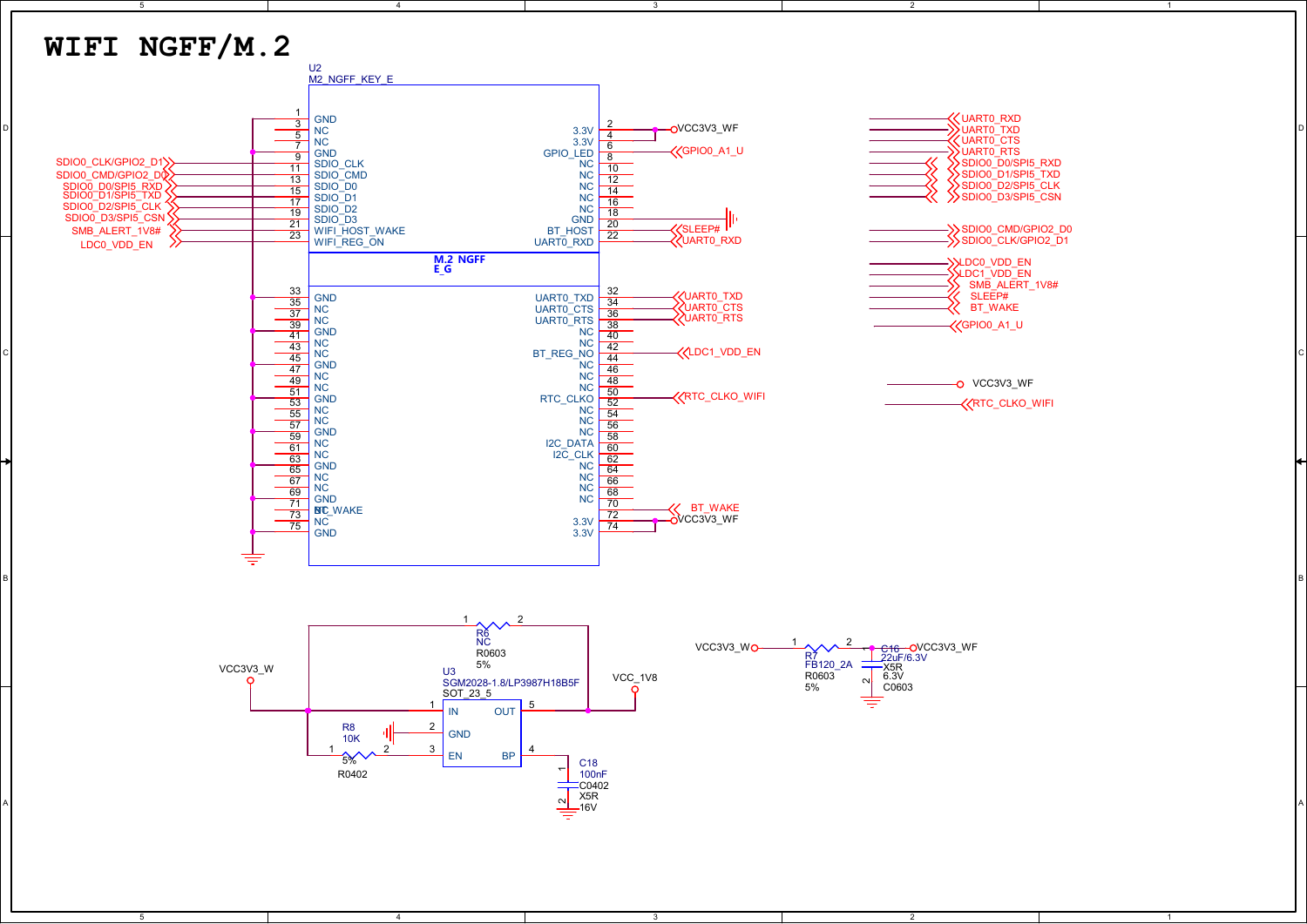